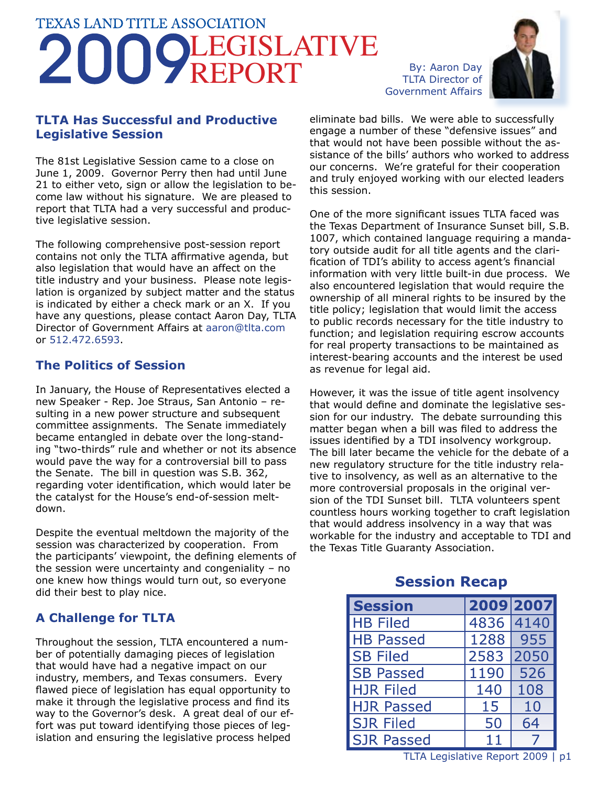# **TEXAS LAND TITLE ASSOCIATION** LEGISLATIVE REPORT By: Aaron Day



### **TLTA Has Successful and Productive Legislative Session**

The 81st Legislative Session came to a close on June 1, 2009. Governor Perry then had until June 21 to either veto, sign or allow the legislation to become law without his signature. We are pleased to report that TLTA had a very successful and productive legislative session.

The following comprehensive post-session report contains not only the TLTA affirmative agenda, but also legislation that would have an affect on the title industry and your business. Please note legislation is organized by subject matter and the status is indicated by either a check mark or an X. If you have any questions, please contact Aaron Day, TLTA Director of Government Affairs at aaron@tlta.com or 512.472.6593.

### **The Politics of Session**

In January, the House of Representatives elected a new Speaker - Rep. Joe Straus, San Antonio – resulting in a new power structure and subsequent committee assignments. The Senate immediately became entangled in debate over the long-standing "two-thirds" rule and whether or not its absence would pave the way for a controversial bill to pass the Senate. The bill in question was S.B. 362, regarding voter identification, which would later be the catalyst for the House's end-of-session meltdown.

Despite the eventual meltdown the majority of the session was characterized by cooperation. From the participants' viewpoint, the defining elements of the session were uncertainty and congeniality – no one knew how things would turn out, so everyone did their best to play nice.

### **A Challenge for TLTA**

Throughout the session, TLTA encountered a number of potentially damaging pieces of legislation that would have had a negative impact on our industry, members, and Texas consumers. Every flawed piece of legislation has equal opportunity to make it through the legislative process and find its way to the Governor's desk. A great deal of our effort was put toward identifying those pieces of legislation and ensuring the legislative process helped

eliminate bad bills. We were able to successfully engage a number of these "defensive issues" and that would not have been possible without the assistance of the bills' authors who worked to address our concerns. We're grateful for their cooperation and truly enjoyed working with our elected leaders this session.

One of the more significant issues TLTA faced was the Texas Department of Insurance Sunset bill, S.B. 1007, which contained language requiring a mandatory outside audit for all title agents and the clarification of TDI's ability to access agent's financial information with very little built-in due process. We also encountered legislation that would require the ownership of all mineral rights to be insured by the title policy; legislation that would limit the access to public records necessary for the title industry to function; and legislation requiring escrow accounts for real property transactions to be maintained as interest-bearing accounts and the interest be used as revenue for legal aid.

However, it was the issue of title agent insolvency that would define and dominate the legislative session for our industry. The debate surrounding this matter began when a bill was filed to address the issues identified by a TDI insolvency workgroup. The bill later became the vehicle for the debate of a new regulatory structure for the title industry relative to insolvency, as well as an alternative to the more controversial proposals in the original version of the TDI Sunset bill. TLTA volunteers spent countless hours working together to craft legislation that would address insolvency in a way that was workable for the industry and acceptable to TDI and the Texas Title Guaranty Association.

#### 2009 2007 **Session HB Filed** 4836 4140 **HB Passed** 1288 955 **SB Filed** 2583 2050 **SB Passed** 1190 526 **HJR Filed** 140 108 15 **HJR Passed** 10 **SJR Filed** 50 64 11  $\overline{7}$ **SJR Passed**

## **Session Recap**

TLTA Legislative Report 2009 | p1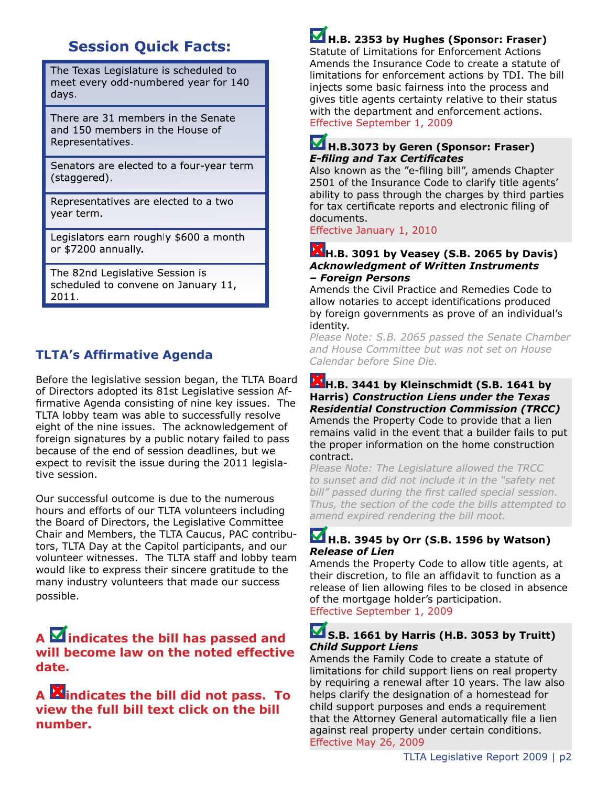## **Session Quick Facts:**

The Texas Legislature is scheduled to meet every odd-numbered year for 140 days.

There are 31 members in the Senate and 150 members in the House of Representatives.

Senators are elected to a four-year term (staggered).

Representatives are elected to a two year term.

Legislators earn roughly \$600 a month or \$7200 annually.

The 82nd Legislative Session is scheduled to convene on January 11, 2011.

## **TLTA's Affirmative Agenda**

Before the legislative session began, the TLTA Board of Directors adopted its 81st Legislative session Affirmative Agenda consisting of nine key issues. The TLTA lobby team was able to successfully resolve eight of the nine issues. The acknowledgement of foreign signatures by a public notary failed to pass because of the end of session deadlines, but we expect to revisit the issue during the 2011 legislative session.

Our successful outcome is due to the numerous hours and efforts of our TLTA volunteers including the Board of Directors, the Legislative Committee Chair and Members, the TLTA Caucus, PAC contributors, TLTA Day at the Capitol participants, and our volunteer witnesses. The TLTA staff and lobby team would like to express their sincere gratitude to the many industry volunteers that made our success possible.

### **A**  $\overline{\mathbf{M}}$  **indicates the bill has passed and will become law on the noted effective date.**

**A indicates the bill did not pass. To view the full bill text click on the bill number.**

## **H.B. 2353 by Hughes (Sponsor: Fraser)**

Statute of Limitations for Enforcement Actions Amends the Insurance Code to create a statute of limitations for enforcement actions by TDI. The bill injects some basic fairness into the process and gives title agents certainty relative to their status with the department and enforcement actions. Effective September 1, 2009

### **H.B.3073 by Geren (Sponsor: Fraser)**  *E-filing and Tax Certificates*

Also known as the "e-filing bill", amends Chapter 2501 of the Insurance Code to clarify title agents' ability to pass through the charges by third parties for tax certificate reports and electronic filing of documents.

Effective January 1, 2010

#### **H.B. 3091 by Veasey (S.B. 2065 by Davis)** *Acknowledgment of Written Instruments – Foreign Persons*

Amends the Civil Practice and Remedies Code to allow notaries to accept identifications produced by foreign governments as prove of an individual's identity.

*Please Note: S.B. 2065 passed the Senate Chamber and House Committee but was not set on House Calendar before Sine Die.*

#### **H.B. 3441 by Kleinschmidt (S.B. 1641 by Harris)** *Construction Liens under the Texas Residential Construction Commission (TRCC)* Amends the Property Code to provide that a lien remains valid in the event that a builder fails to put the proper information on the home construction contract.

*Please Note: The Legislature allowed the TRCC to sunset and did not include it in the "safety net bill" passed during the first called special session. Thus, the section of the code the bills attempted to amend expired rendering the bill moot.*

### **H.B. 3945 by Orr (S.B. 1596 by Watson)** *Release of Lien*

Amends the Property Code to allow title agents, at their discretion, to file an affidavit to function as a release of lien allowing files to be closed in absence of the mortgage holder's participation. Effective September 1, 2009

### **S.B. 1661 by Harris (H.B. 3053 by Truitt)** *Child Support Liens*

Amends the Family Code to create a statute of limitations for child support liens on real property by requiring a renewal after 10 years. The law also helps clarify the designation of a homestead for child support purposes and ends a requirement that the Attorney General automatically file a lien against real property under certain conditions. Effective May 26, 2009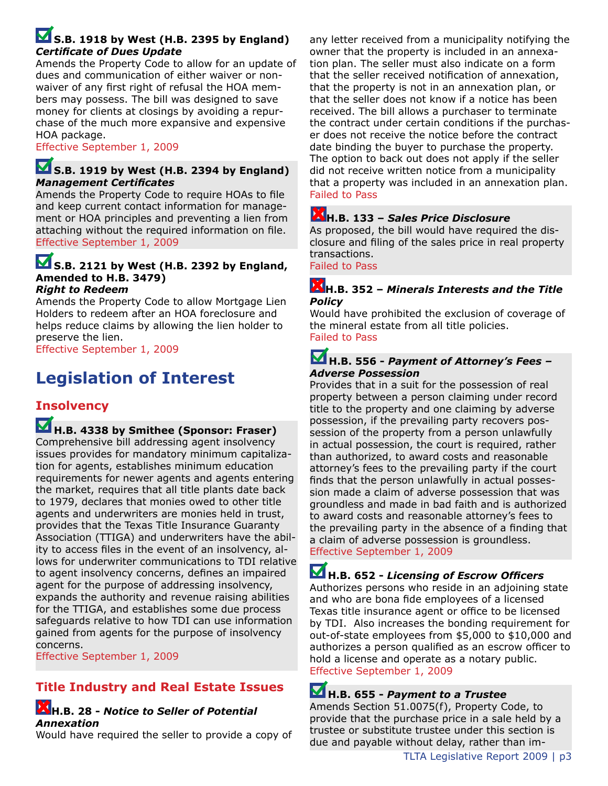### **S.B. 1918 by West (H.B. 2395 by England)** *Certificate of Dues Update*

Amends the Property Code to allow for an update of dues and communication of either waiver or nonwaiver of any first right of refusal the HOA members may possess. The bill was designed to save money for clients at closings by avoiding a repurchase of the much more expansive and expensive HOA package.

#### Effective September 1, 2009

### **S.B. 1919 by West (H.B. 2394 by England)** *Management Certificates*

Amends the Property Code to require HOAs to file and keep current contact information for management or HOA principles and preventing a lien from attaching without the required information on file. Effective September 1, 2009

## **S.B. 2121 by West (H.B. 2392 by England, Amended to H.B. 3479)**

#### *Right to Redeem*

Amends the Property Code to allow Mortgage Lien Holders to redeem after an HOA foreclosure and helps reduce claims by allowing the lien holder to preserve the lien.

Effective September 1, 2009

## **Legislation of Interest**

### **Insolvency**

## **H.B. 4338 by Smithee (Sponsor: Fraser)**

Comprehensive bill addressing agent insolvency issues provides for mandatory minimum capitalization for agents, establishes minimum education requirements for newer agents and agents entering the market, requires that all title plants date back to 1979, declares that monies owed to other title agents and underwriters are monies held in trust, provides that the Texas Title Insurance Guaranty Association (TTIGA) and underwriters have the ability to access files in the event of an insolvency, allows for underwriter communications to TDI relative to agent insolvency concerns, defines an impaired agent for the purpose of addressing insolvency, expands the authority and revenue raising abilities for the TTIGA, and establishes some due process safeguards relative to how TDI can use information gained from agents for the purpose of insolvency concerns.

Effective September 1, 2009

### **Title Industry and Real Estate Issues**

#### **H.B. 28 -** *Notice to Seller of Potential Annexation*

Would have required the seller to provide a copy of

any letter received from a municipality notifying the owner that the property is included in an annexation plan. The seller must also indicate on a form that the seller received notification of annexation, that the property is not in an annexation plan, or that the seller does not know if a notice has been received. The bill allows a purchaser to terminate the contract under certain conditions if the purchaser does not receive the notice before the contract date binding the buyer to purchase the property. The option to back out does not apply if the seller did not receive written notice from a municipality that a property was included in an annexation plan. Failed to Pass

### **H.B. 133 –** *Sales Price Disclosure*

As proposed, the bill would have required the disclosure and filing of the sales price in real property transactions.

Failed to Pass

#### **H.B. 352 –** *Minerals Interests and the Title Policy*

Would have prohibited the exclusion of coverage of the mineral estate from all title policies. Failed to Pass

### **H.B. 556 -** *Payment of Attorney's Fees – Adverse Possession*

Provides that in a suit for the possession of real property between a person claiming under record title to the property and one claiming by adverse possession, if the prevailing party recovers possession of the property from a person unlawfully in actual possession, the court is required, rather than authorized, to award costs and reasonable attorney's fees to the prevailing party if the court finds that the person unlawfully in actual possession made a claim of adverse possession that was groundless and made in bad faith and is authorized to award costs and reasonable attorney's fees to the prevailing party in the absence of a finding that a claim of adverse possession is groundless. Effective September 1, 2009

## **H.B. 652 -** *Licensing of Escrow Officers*

Authorizes persons who reside in an adjoining state and who are bona fide employees of a licensed Texas title insurance agent or office to be licensed by TDI. Also increases the bonding requirement for out-of-state employees from \$5,000 to \$10,000 and authorizes a person qualified as an escrow officer to hold a license and operate as a notary public. Effective September 1, 2009

## **H.B. 655 -** *Payment to a Trustee*

Amends Section 51.0075(f), Property Code, to provide that the purchase price in a sale held by a trustee or substitute trustee under this section is due and payable without delay, rather than im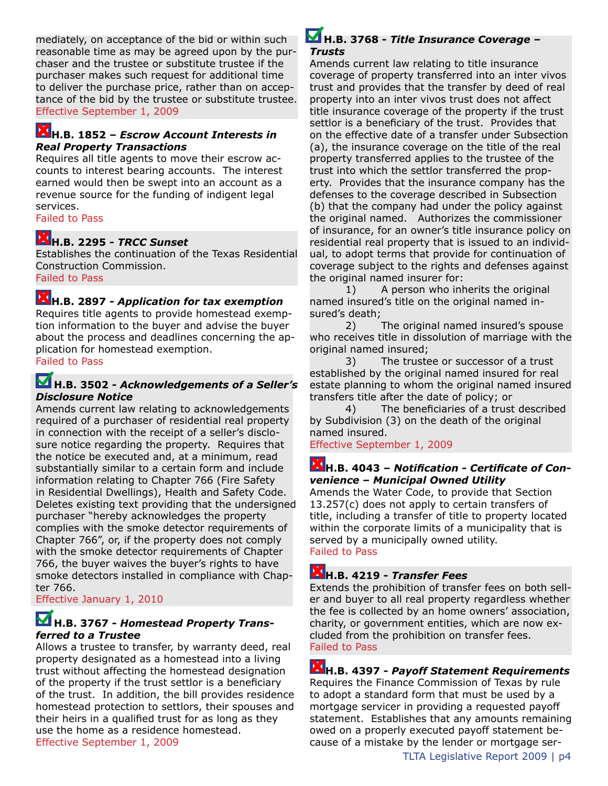mediately, on acceptance of the bid or within such reasonable time as may be agreed upon by the purchaser and the trustee or substitute trustee if the purchaser makes such request for additional time to deliver the purchase price, rather than on acceptance of the bid by the trustee or substitute trustee. Effective September 1, 2009

#### **H.B. 1852 –** *Escrow Account Interests in Real Property Transactions*

Requires all title agents to move their escrow accounts to interest bearing accounts. The interest earned would then be swept into an account as a revenue source for the funding of indigent legal services.

Failed to Pass

### **H.B. 2295 -** *TRCC Sunset*

Establishes the continuation of the Texas Residential Construction Commission. Failed to Pass

### **H.B. 2897 -** *Application for tax exemption*

Requires title agents to provide homestead exemption information to the buyer and advise the buyer about the process and deadlines concerning the application for homestead exemption. Failed to Pass

### **H.B. 3502 -** *Acknowledgements of a Seller's Disclosure Notice*

Amends current law relating to acknowledgements required of a purchaser of residential real property in connection with the receipt of a seller's disclosure notice regarding the property. Requires that the notice be executed and, at a minimum, read substantially similar to a certain form and include information relating to Chapter 766 (Fire Safety in Residential Dwellings), Health and Safety Code. Deletes existing text providing that the undersigned purchaser "hereby acknowledges the property complies with the smoke detector requirements of Chapter 766", or, if the property does not comply with the smoke detector requirements of Chapter 766, the buyer waives the buyer's rights to have smoke detectors installed in compliance with Chapter 766.

Effective January 1, 2010

### **H.B. 3767 -** *Homestead Property Transferred to a Trustee*

Allows a trustee to transfer, by warranty deed, real property designated as a homestead into a living trust without affecting the homestead designation of the property if the trust settlor is a beneficiary of the trust. In addition, the bill provides residence homestead protection to settlors, their spouses and their heirs in a qualified trust for as long as they use the home as a residence homestead. Effective September 1, 2009

#### **H.B. 3768 -** *Title Insurance Coverage – Trusts*

Amends current law relating to title insurance coverage of property transferred into an inter vivos trust and provides that the transfer by deed of real property into an inter vivos trust does not affect title insurance coverage of the property if the trust settlor is a beneficiary of the trust. Provides that on the effective date of a transfer under Subsection (a), the insurance coverage on the title of the real property transferred applies to the trustee of the trust into which the settlor transferred the property. Provides that the insurance company has the defenses to the coverage described in Subsection (b) that the company had under the policy against the original named. Authorizes the commissioner of insurance, for an owner's title insurance policy on residential real property that is issued to an individual, to adopt terms that provide for continuation of coverage subject to the rights and defenses against the original named insurer for:

1) A person who inherits the original named insured's title on the original named insured's death;

2) The original named insured's spouse who receives title in dissolution of marriage with the original named insured;

3) The trustee or successor of a trust established by the original named insured for real estate planning to whom the original named insured transfers title after the date of policy; or

4) The beneficiaries of a trust described by Subdivision (3) on the death of the original named insured.

Effective September 1, 2009

### **H.B. 4043 –** *Notification - Certificate of Convenience – Municipal Owned Utility*

Amends the Water Code, to provide that Section 13.257(c) does not apply to certain transfers of title, including a transfer of title to property located within the corporate limits of a municipality that is served by a municipally owned utility. Failed to Pass

## **H.B. 4219 -** *Transfer Fees*

Extends the prohibition of transfer fees on both seller and buyer to all real property regardless whether the fee is collected by an home owners' association, charity, or government entities, which are now excluded from the prohibition on transfer fees. Failed to Pass

## **H.B. 4397 -** *Payoff Statement Requirements*

Requires the Finance Commission of Texas by rule to adopt a standard form that must be used by a mortgage servicer in providing a requested payoff statement. Establishes that any amounts remaining owed on a properly executed payoff statement because of a mistake by the lender or mortgage ser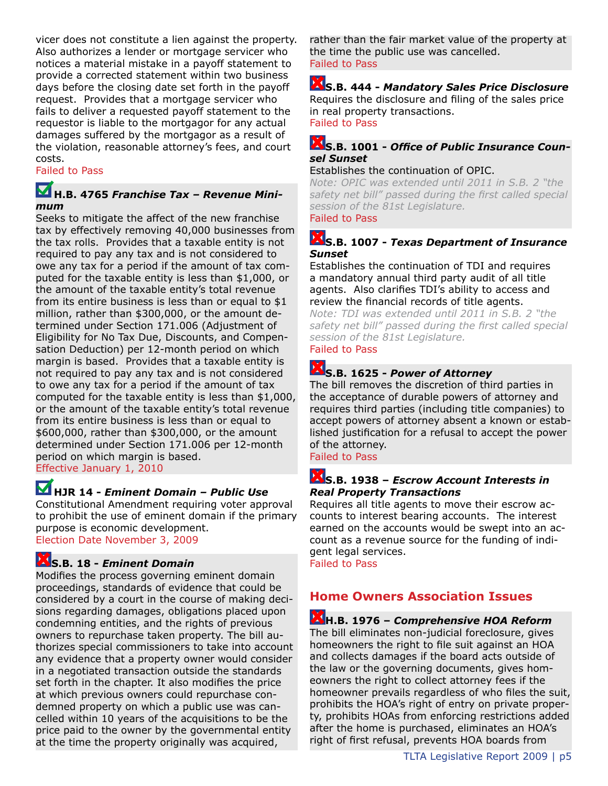vicer does not constitute a lien against the property. Also authorizes a lender or mortgage servicer who notices a material mistake in a payoff statement to provide a corrected statement within two business days before the closing date set forth in the payoff request. Provides that a mortgage servicer who fails to deliver a requested payoff statement to the requestor is liable to the mortgagor for any actual damages suffered by the mortgagor as a result of the violation, reasonable attorney's fees, and court costs.

#### Failed to Pass

### **H.B. 4765** *Franchise Tax – Revenue Minimum*

Seeks to mitigate the affect of the new franchise tax by effectively removing 40,000 businesses from the tax rolls. Provides that a taxable entity is not required to pay any tax and is not considered to owe any tax for a period if the amount of tax computed for the taxable entity is less than \$1,000, or the amount of the taxable entity's total revenue from its entire business is less than or equal to \$1 million, rather than \$300,000, or the amount determined under Section 171.006 (Adjustment of Eligibility for No Tax Due, Discounts, and Compensation Deduction) per 12-month period on which margin is based. Provides that a taxable entity is not required to pay any tax and is not considered to owe any tax for a period if the amount of tax computed for the taxable entity is less than \$1,000, or the amount of the taxable entity's total revenue from its entire business is less than or equal to \$600,000, rather than \$300,000, or the amount determined under Section 171.006 per 12-month period on which margin is based. Effective January 1, 2010

### **HJR 14 -** *Eminent Domain – Public Use*

Constitutional Amendment requiring voter approval to prohibit the use of eminent domain if the primary purpose is economic development. Election Date November 3, 2009

### **S.B. 18 -** *Eminent Domain*

Modifies the process governing eminent domain proceedings, standards of evidence that could be considered by a court in the course of making decisions regarding damages, obligations placed upon condemning entities, and the rights of previous owners to repurchase taken property. The bill authorizes special commissioners to take into account any evidence that a property owner would consider in a negotiated transaction outside the standards set forth in the chapter. It also modifies the price at which previous owners could repurchase condemned property on which a public use was cancelled within 10 years of the acquisitions to be the price paid to the owner by the governmental entity at the time the property originally was acquired,

rather than the fair market value of the property at the time the public use was cancelled. Failed to Pass

**S.B. 444 -** *Mandatory Sales Price Disclosure* Requires the disclosure and filing of the sales price in real property transactions. Failed to Pass

#### **S.B. 1001 -** *Office of Public Insurance Counsel Sunset*

#### Establishes the continuation of OPIC.

*Note: OPIC was extended until 2011 in S.B. 2 "the safety net bill" passed during the first called special session of the 81st Legislature.*

### Failed to Pass

### **S.B. 1007 -** *Texas Department of Insurance Sunset*

Establishes the continuation of TDI and requires a mandatory annual third party audit of all title agents. Also clarifies TDI's ability to access and review the financial records of title agents.

*Note: TDI was extended until 2011 in S.B. 2 "the safety net bill" passed during the first called special session of the 81st Legislature.* 

### Failed to Pass

# **S.B. 1625 -** *Power of Attorney*

The bill removes the discretion of third parties in the acceptance of durable powers of attorney and requires third parties (including title companies) to accept powers of attorney absent a known or established justification for a refusal to accept the power of the attorney.

Failed to Pass

### **S.B. 1938 –** *Escrow Account Interests in Real Property Transactions*

Requires all title agents to move their escrow accounts to interest bearing accounts. The interest earned on the accounts would be swept into an account as a revenue source for the funding of indigent legal services.

Failed to Pass

### **Home Owners Association Issues**

**H.B. 1976 –** *Comprehensive HOA Reform* The bill eliminates non-judicial foreclosure, gives homeowners the right to file suit against an HOA and collects damages if the board acts outside of the law or the governing documents, gives homeowners the right to collect attorney fees if the homeowner prevails regardless of who files the suit, prohibits the HOA's right of entry on private property, prohibits HOAs from enforcing restrictions added after the home is purchased, eliminates an HOA's right of first refusal, prevents HOA boards from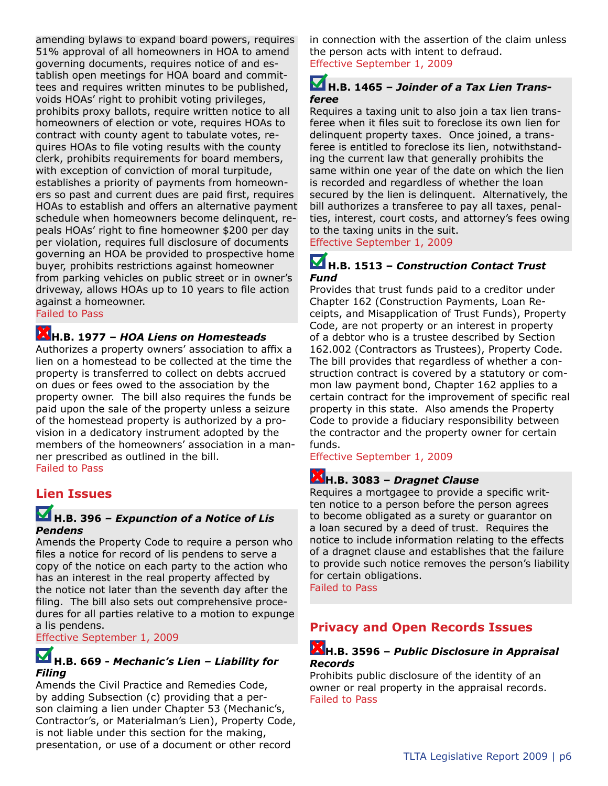amending bylaws to expand board powers, requires 51% approval of all homeowners in HOA to amend governing documents, requires notice of and establish open meetings for HOA board and committees and requires written minutes to be published, voids HOAs' right to prohibit voting privileges, prohibits proxy ballots, require written notice to all homeowners of election or vote, requires HOAs to contract with county agent to tabulate votes, requires HOAs to file voting results with the county clerk, prohibits requirements for board members, with exception of conviction of moral turpitude, establishes a priority of payments from homeowners so past and current dues are paid first, requires HOAs to establish and offers an alternative payment schedule when homeowners become delinquent, repeals HOAs' right to fine homeowner \$200 per day per violation, requires full disclosure of documents governing an HOA be provided to prospective home buyer, prohibits restrictions against homeowner from parking vehicles on public street or in owner's driveway, allows HOAs up to 10 years to file action against a homeowner.

Failed to Pass

### **H.B. 1977 –** *HOA Liens on Homesteads*

Authorizes a property owners' association to affix a lien on a homestead to be collected at the time the property is transferred to collect on debts accrued on dues or fees owed to the association by the property owner. The bill also requires the funds be paid upon the sale of the property unless a seizure of the homestead property is authorized by a provision in a dedicatory instrument adopted by the members of the homeowners' association in a manner prescribed as outlined in the bill. Failed to Pass

#### **Lien Issues**

### **H.B. 396** *– Expunction of a Notice of Lis Pendens*

Amends the Property Code to require a person who files a notice for record of lis pendens to serve a copy of the notice on each party to the action who has an interest in the real property affected by the notice not later than the seventh day after the filing. The bill also sets out comprehensive procedures for all parties relative to a motion to expunge a lis pendens.

Effective September 1, 2009

### **H.B. 669 -** *Mechanic's Lien – Liability for Filing*

Amends the Civil Practice and Remedies Code, by adding Subsection (c) providing that a person claiming a lien under Chapter 53 (Mechanic's, Contractor's, or Materialman's Lien), Property Code, is not liable under this section for the making, presentation, or use of a document or other record

in connection with the assertion of the claim unless the person acts with intent to defraud. Effective September 1, 2009

### **H.B. 1465 –** *Joinder of a Tax Lien Transferee*

Requires a taxing unit to also join a tax lien transferee when it files suit to foreclose its own lien for delinquent property taxes. Once joined, a transferee is entitled to foreclose its lien, notwithstanding the current law that generally prohibits the same within one year of the date on which the lien is recorded and regardless of whether the loan secured by the lien is delinquent. Alternatively, the bill authorizes a transferee to pay all taxes, penalties, interest, court costs, and attorney's fees owing to the taxing units in the suit.

Effective September 1, 2009

### **H.B. 1513 –** *Construction Contact Trust Fund*

Provides that trust funds paid to a creditor under Chapter 162 (Construction Payments, Loan Receipts, and Misapplication of Trust Funds), Property Code, are not property or an interest in property of a debtor who is a trustee described by Section 162.002 (Contractors as Trustees), Property Code. The bill provides that regardless of whether a construction contract is covered by a statutory or common law payment bond, Chapter 162 applies to a certain contract for the improvement of specific real property in this state. Also amends the Property Code to provide a fiduciary responsibility between the contractor and the property owner for certain funds.

Effective September 1, 2009

### **H.B. 3083 –** *Dragnet Clause*

Requires a mortgagee to provide a specific written notice to a person before the person agrees to become obligated as a surety or guarantor on a loan secured by a deed of trust. Requires the notice to include information relating to the effects of a dragnet clause and establishes that the failure to provide such notice removes the person's liability for certain obligations.

Failed to Pass

### **Privacy and Open Records Issues**

### **H.B. 3596 –** *Public Disclosure in Appraisal Records*

Prohibits public disclosure of the identity of an owner or real property in the appraisal records. Failed to Pass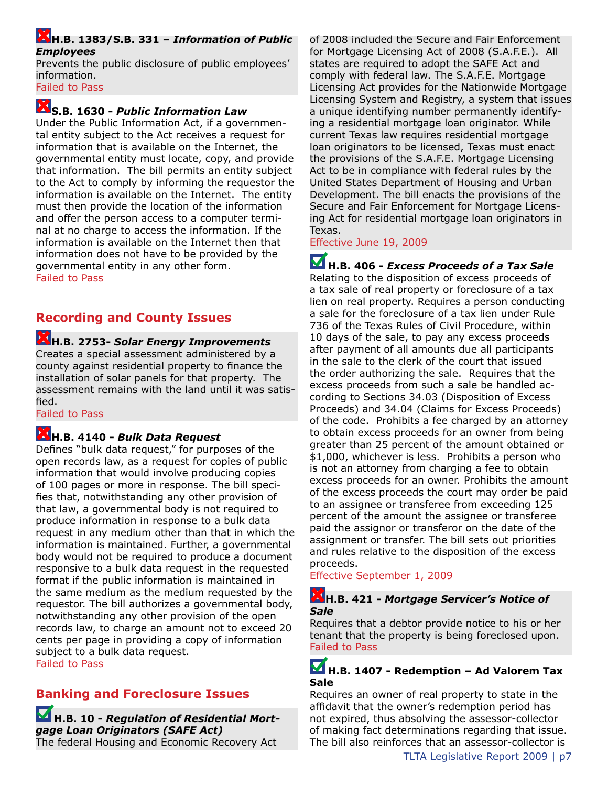#### **H.B. 1383/S.B. 331 –** *Information of Public Employees*

Prevents the public disclosure of public employees' information.

Failed to Pass

## **S.B. 1630 -** *Public Information Law*

Under the Public Information Act, if a governmental entity subject to the Act receives a request for information that is available on the Internet, the governmental entity must locate, copy, and provide that information. The bill permits an entity subject to the Act to comply by informing the requestor the information is available on the Internet. The entity must then provide the location of the information and offer the person access to a computer terminal at no charge to access the information. If the information is available on the Internet then that information does not have to be provided by the governmental entity in any other form. Failed to Pass

**Recording and County Issues**

#### **H.B. 2753-** *Solar Energy Improvements* Creates a special assessment administered by a county against residential property to finance the installation of solar panels for that property. The assessment remains with the land until it was satisfied.

Failed to Pass

## **H.B. 4140 -** *Bulk Data Request*

Defines "bulk data request," for purposes of the open records law, as a request for copies of public information that would involve producing copies of 100 pages or more in response. The bill specifies that, notwithstanding any other provision of that law, a governmental body is not required to produce information in response to a bulk data request in any medium other than that in which the information is maintained. Further, a governmental body would not be required to produce a document responsive to a bulk data request in the requested format if the public information is maintained in the same medium as the medium requested by the requestor. The bill authorizes a governmental body, notwithstanding any other provision of the open records law, to charge an amount not to exceed 20 cents per page in providing a copy of information subject to a bulk data request. Failed to Pass

## **Banking and Foreclosure Issues**

**H.B. 10 -** *Regulation of Residential Mortgage Loan Originators (SAFE Act)* The federal Housing and Economic Recovery Act

of 2008 included the Secure and Fair Enforcement for Mortgage Licensing Act of 2008 (S.A.F.E.). All states are required to adopt the SAFE Act and comply with federal law. The S.A.F.E. Mortgage Licensing Act provides for the Nationwide Mortgage Licensing System and Registry, a system that issues a unique identifying number permanently identifying a residential mortgage loan originator. While current Texas law requires residential mortgage loan originators to be licensed, Texas must enact the provisions of the S.A.F.E. Mortgage Licensing Act to be in compliance with federal rules by the United States Department of Housing and Urban Development. The bill enacts the provisions of the Secure and Fair Enforcement for Mortgage Licensing Act for residential mortgage loan originators in Texas.

Effective June 19, 2009

**H.B. 406 -** *Excess Proceeds of a Tax Sale* Relating to the disposition of excess proceeds of a tax sale of real property or foreclosure of a tax lien on real property. Requires a person conducting a sale for the foreclosure of a tax lien under Rule 736 of the Texas Rules of Civil Procedure, within 10 days of the sale, to pay any excess proceeds after payment of all amounts due all participants in the sale to the clerk of the court that issued the order authorizing the sale. Requires that the excess proceeds from such a sale be handled according to Sections 34.03 (Disposition of Excess Proceeds) and 34.04 (Claims for Excess Proceeds) of the code. Prohibits a fee charged by an attorney to obtain excess proceeds for an owner from being greater than 25 percent of the amount obtained or \$1,000, whichever is less. Prohibits a person who is not an attorney from charging a fee to obtain excess proceeds for an owner. Prohibits the amount of the excess proceeds the court may order be paid to an assignee or transferee from exceeding 125 percent of the amount the assignee or transferee paid the assignor or transferor on the date of the assignment or transfer. The bill sets out priorities and rules relative to the disposition of the excess proceeds.

Effective September 1, 2009

### **H.B. 421 -** *Mortgage Servicer's Notice of Sale*

Requires that a debtor provide notice to his or her tenant that the property is being foreclosed upon. Failed to Pass

### **H.B. 1407 - Redemption – Ad Valorem Tax Sale**

Requires an owner of real property to state in the affidavit that the owner's redemption period has not expired, thus absolving the assessor-collector of making fact determinations regarding that issue. The bill also reinforces that an assessor-collector is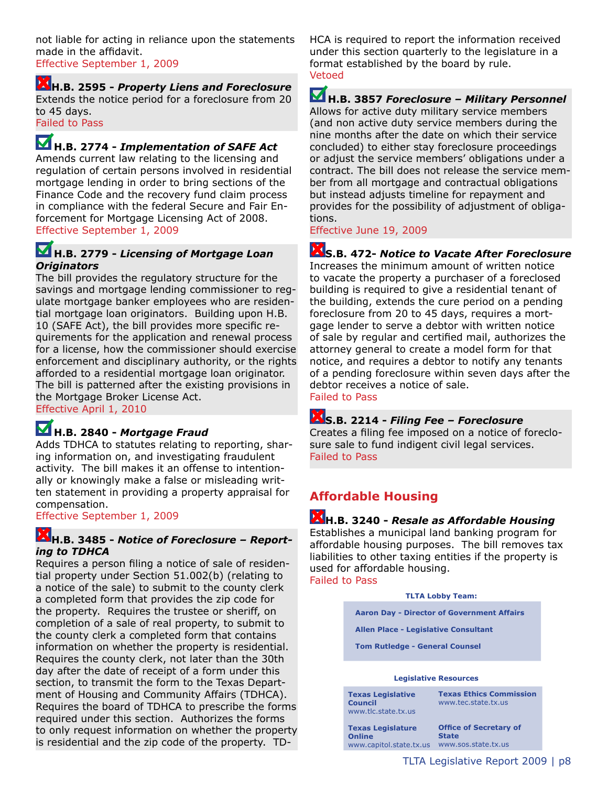not liable for acting in reliance upon the statements made in the affidavit. Effective September 1, 2009

**H.B. 2595 -** *Property Liens and Foreclosure* Extends the notice period for a foreclosure from 20 to 45 days.

Failed to Pass

**H.B. 2774 -** *Implementation of SAFE Act*

Amends current law relating to the licensing and regulation of certain persons involved in residential mortgage lending in order to bring sections of the Finance Code and the recovery fund claim process in compliance with the federal Secure and Fair Enforcement for Mortgage Licensing Act of 2008. Effective September 1, 2009

#### **H.B. 2779 -** *Licensing of Mortgage Loan Originators*

The bill provides the regulatory structure for the savings and mortgage lending commissioner to regulate mortgage banker employees who are residential mortgage loan originators. Building upon H.B. 10 (SAFE Act), the bill provides more specific requirements for the application and renewal process for a license, how the commissioner should exercise enforcement and disciplinary authority, or the rights afforded to a residential mortgage loan originator. The bill is patterned after the existing provisions in the Mortgage Broker License Act.

Effective April 1, 2010

## **H.B. 2840 -** *Mortgage Fraud*

Adds TDHCA to statutes relating to reporting, sharing information on, and investigating fraudulent activity. The bill makes it an offense to intentionally or knowingly make a false or misleading written statement in providing a property appraisal for compensation.

Effective September 1, 2009

### **H.B. 3485 -** *Notice of Foreclosure – Reporting to TDHCA*

Requires a person filing a notice of sale of residential property under Section 51.002(b) (relating to a notice of the sale) to submit to the county clerk a completed form that provides the zip code for the property. Requires the trustee or sheriff, on completion of a sale of real property, to submit to the county clerk a completed form that contains information on whether the property is residential. Requires the county clerk, not later than the 30th day after the date of receipt of a form under this section, to transmit the form to the Texas Department of Housing and Community Affairs (TDHCA). Requires the board of TDHCA to prescribe the forms required under this section. Authorizes the forms to only request information on whether the property is residential and the zip code of the property. TD-

HCA is required to report the information received under this section quarterly to the legislature in a format established by the board by rule. Vetoed

**H.B. 3857** *Foreclosure – Military Personnel* Allows for active duty military service members (and non active duty service members during the nine months after the date on which their service concluded) to either stay foreclosure proceedings or adjust the service members' obligations under a contract. The bill does not release the service member from all mortgage and contractual obligations but instead adjusts timeline for repayment and provides for the possibility of adjustment of obligations.

Effective June 19, 2009

## **S.B. 472-** *Notice to Vacate After Foreclosure*

Increases the minimum amount of written notice to vacate the property a purchaser of a foreclosed building is required to give a residential tenant of the building, extends the cure period on a pending foreclosure from 20 to 45 days, requires a mortgage lender to serve a debtor with written notice of sale by regular and certified mail, authorizes the attorney general to create a model form for that notice, and requires a debtor to notify any tenants of a pending foreclosure within seven days after the debtor receives a notice of sale. Failed to Pass

## **S.B. 2214 -** *Filing Fee – Foreclosure*

Creates a filing fee imposed on a notice of foreclosure sale to fund indigent civil legal services. Failed to Pass

### **Affordable Housing**

**H.B. 3240 -** *Resale as Affordable Housing* Establishes a municipal land banking program for affordable housing purposes. The bill removes tax liabilities to other taxing entities if the property is used for affordable housing. Failed to Pass

**TLTA Lobby Team:** 

 **Aaron Day - Director of Government Affairs**

 **Allen Place - Legislative Consultant**

 **Tom Rutledge - General Counsel**

### **Legislative Resources**

**Texas Legislative Council** www.tlc.state.tx.us

**Online**

**Texas Ethics Commission** www.tec.state.tx.us

**Texas Legislature**  www.capitol.state.tx.us www.sos.state.tx.us **Office of Secretary of State**